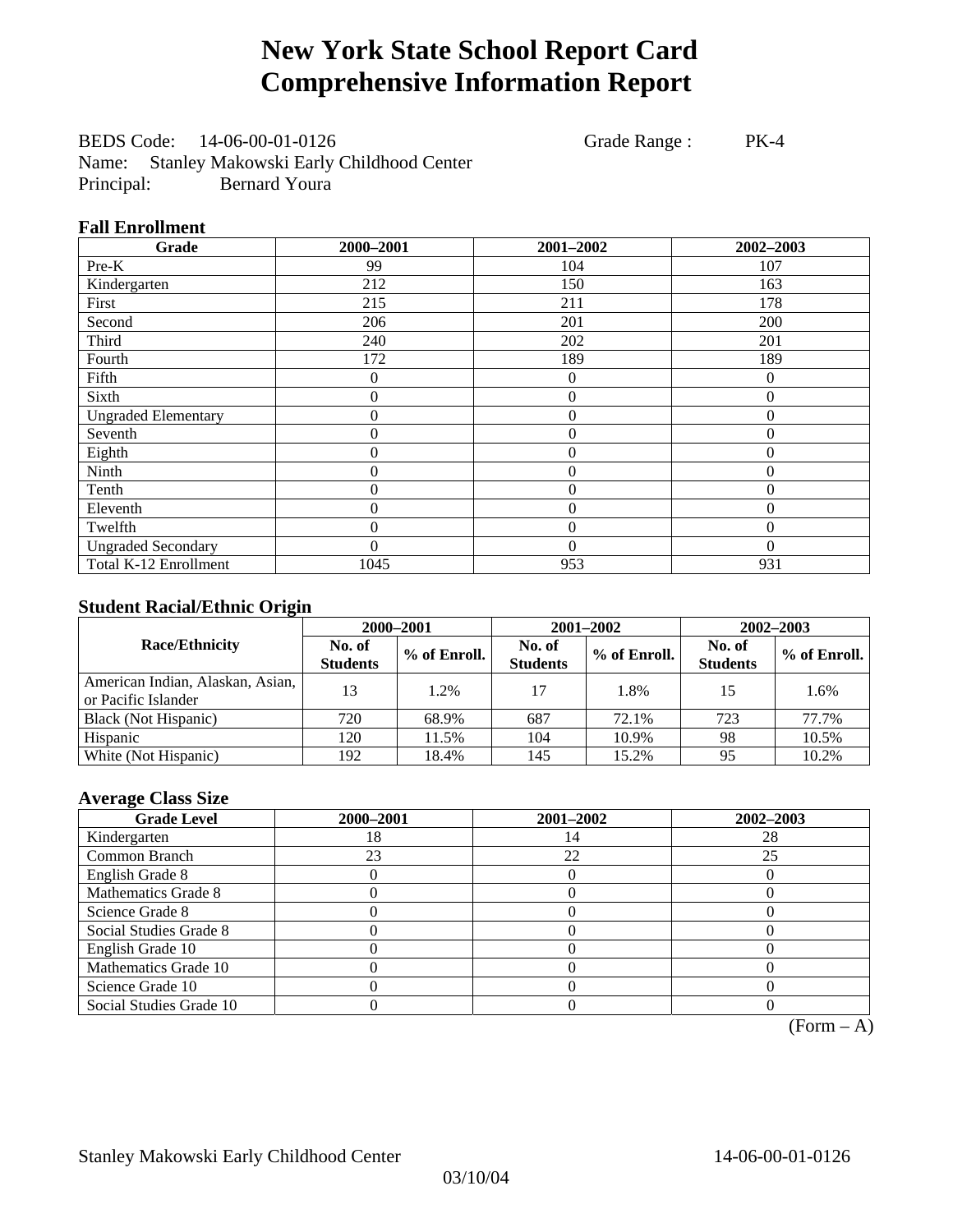# **New York State School Report Card Comprehensive Information Report**

BEDS Code: 14-06-00-01-0126 Grade Range : PK-4 Name: Stanley Makowski Early Childhood Center Principal: Bernard Youra

#### **Fall Enrollment**

| Grade                      | 2000-2001        | 2001-2002        | 2002-2003      |
|----------------------------|------------------|------------------|----------------|
| Pre-K                      | 99               | 104              | 107            |
| Kindergarten               | 212              | 150              | 163            |
| First                      | 215              | 211              | 178            |
| Second                     | 206              | 201              | 200            |
| Third                      | 240              | 202              | 201            |
| Fourth                     | 172              | 189              | 189            |
| Fifth                      | 0                | $\overline{0}$   | $\Omega$       |
| Sixth                      | $\boldsymbol{0}$ | $\overline{0}$   | $\overline{0}$ |
| <b>Ungraded Elementary</b> | $\boldsymbol{0}$ | $\boldsymbol{0}$ | $\theta$       |
| Seventh                    | $\overline{0}$   | $\overline{0}$   | $\theta$       |
| Eighth                     | 0                | $\overline{0}$   | $\Omega$       |
| Ninth                      | 0                | $\mathbf{0}$     | $\theta$       |
| Tenth                      | 0                | $\overline{0}$   | $\theta$       |
| Eleventh                   | 0                | $\overline{0}$   | $\theta$       |
| Twelfth                    | 0                | $\overline{0}$   | $\Omega$       |
| <b>Ungraded Secondary</b>  | $\theta$         | $\theta$         | $\Omega$       |
| Total K-12 Enrollment      | 1045             | 953              | 931            |

#### **Student Racial/Ethnic Origin**

|                                                         | 2000-2001                 |              |                           | 2001-2002    | $2002 - 2003$             |                |
|---------------------------------------------------------|---------------------------|--------------|---------------------------|--------------|---------------------------|----------------|
| <b>Race/Ethnicity</b>                                   | No. of<br><b>Students</b> | % of Enroll. | No. of<br><b>Students</b> | % of Enroll. | No. of<br><b>Students</b> | $%$ of Enroll. |
| American Indian, Alaskan, Asian,<br>or Pacific Islander | 13                        | 1.2%         | 17                        | 1.8%         | 15                        | 1.6%           |
| Black (Not Hispanic)                                    | 720                       | 68.9%        | 687                       | 72.1%        | 723                       | 77.7%          |
| Hispanic                                                | 120                       | 11.5%        | 104                       | 10.9%        | 98                        | 10.5%          |
| White (Not Hispanic)                                    | 192                       | 18.4%        | 145                       | 15.2%        | 95                        | 10.2%          |

### **Average Class Size**

| <b>Grade Level</b>      | 2000-2001 | 2001-2002 | 2002-2003 |
|-------------------------|-----------|-----------|-----------|
| Kindergarten            | 18        |           | 28        |
| Common Branch           | 23        | 22        | 25        |
| English Grade 8         |           |           |           |
| Mathematics Grade 8     |           |           |           |
| Science Grade 8         |           |           |           |
| Social Studies Grade 8  |           |           |           |
| English Grade 10        |           |           |           |
| Mathematics Grade 10    |           |           |           |
| Science Grade 10        |           |           |           |
| Social Studies Grade 10 |           |           |           |

 $(Form - A)$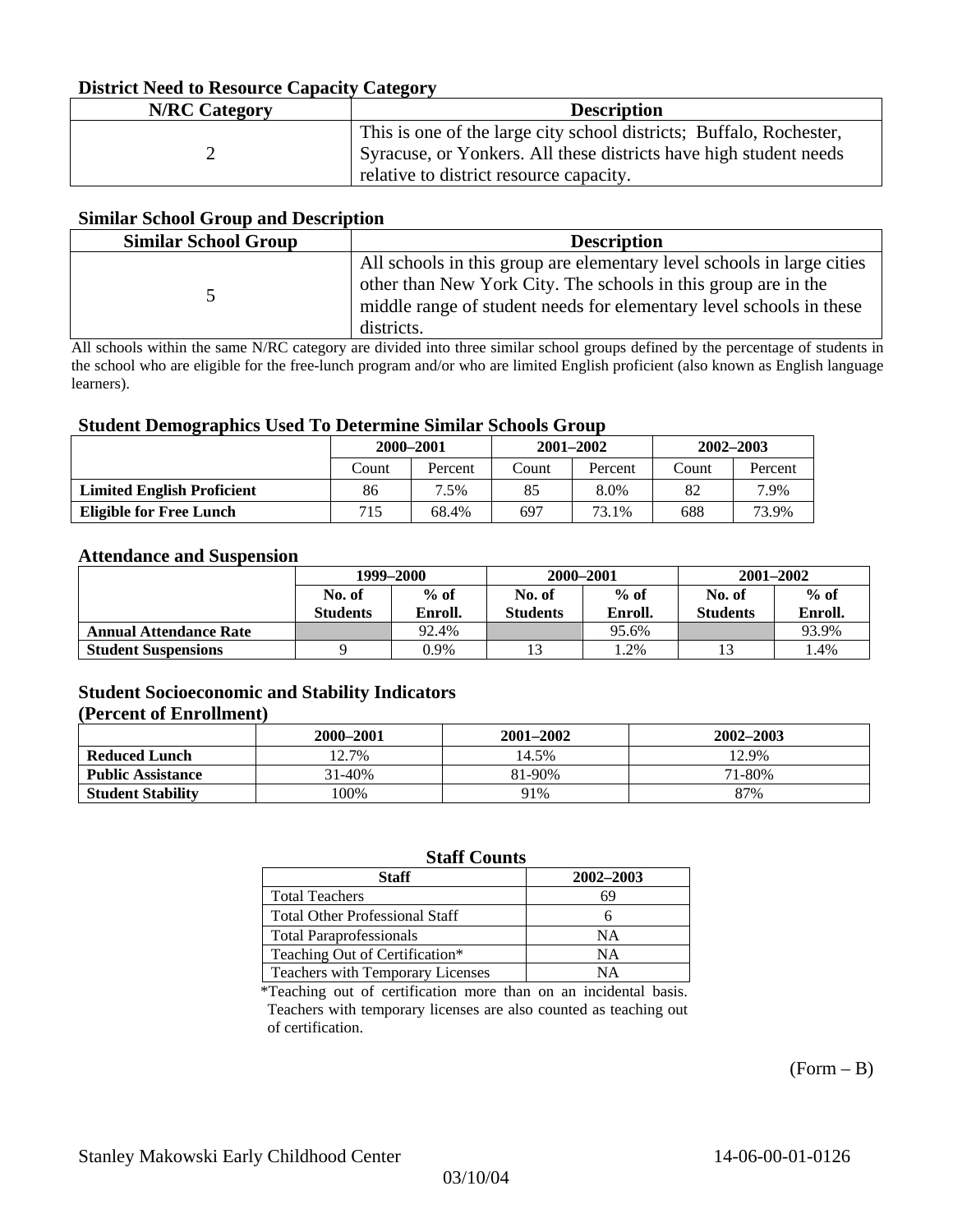#### **District Need to Resource Capacity Category**

| <b>N/RC</b> Category | <b>Description</b>                                                                                                                                                                  |
|----------------------|-------------------------------------------------------------------------------------------------------------------------------------------------------------------------------------|
|                      | This is one of the large city school districts; Buffalo, Rochester,<br>Syracuse, or Yonkers. All these districts have high student needs<br>relative to district resource capacity. |

#### **Similar School Group and Description**

| <b>Similar School Group</b> | <b>Description</b>                                                                                                                                                                                                            |
|-----------------------------|-------------------------------------------------------------------------------------------------------------------------------------------------------------------------------------------------------------------------------|
|                             | All schools in this group are elementary level schools in large cities<br>other than New York City. The schools in this group are in the<br>middle range of student needs for elementary level schools in these<br>districts. |

All schools within the same N/RC category are divided into three similar school groups defined by the percentage of students in the school who are eligible for the free-lunch program and/or who are limited English proficient (also known as English language learners).

#### **Student Demographics Used To Determine Similar Schools Group**

| o                                 | 2000-2001 |         | $2001 - 2002$ |         | $2002 - 2003$ |         |
|-----------------------------------|-----------|---------|---------------|---------|---------------|---------|
|                                   | Count     | Percent | Count         | Percent | Count         | Percent |
| <b>Limited English Proficient</b> | 86        | 7.5%    | 85            | 8.0%    | 82            | 7.9%    |
| <b>Eligible for Free Lunch</b>    | 715       | 68.4%   | 697           | 73.1%   | 688           | 73.9%   |

#### **Attendance and Suspension**

|                               | 1999–2000                 |                   |                           | 2000-2001         | $2001 - 2002$             |                   |
|-------------------------------|---------------------------|-------------------|---------------------------|-------------------|---------------------------|-------------------|
|                               | No. of<br><b>Students</b> | $%$ of<br>Enroll. | No. of<br><b>Students</b> | $%$ of<br>Enroll. | No. of<br><b>Students</b> | $%$ of<br>Enroll. |
| <b>Annual Attendance Rate</b> |                           | 92.4%             |                           | 95.6%             |                           | 93.9%             |
| <b>Student Suspensions</b>    |                           | 0.9%              |                           | .2%               |                           | 1.4%              |

### **Student Socioeconomic and Stability Indicators**

#### **(Percent of Enrollment)**

|                          | 2000–2001 | 2001-2002 | 2002-2003 |
|--------------------------|-----------|-----------|-----------|
| <b>Reduced Lunch</b>     | 12.7%     | 14.5%     | 12.9%     |
| <b>Public Assistance</b> | 31-40%    | 81-90%    | 71-80%    |
| <b>Student Stability</b> | $00\%$    | 91%       | 87%       |

#### **Staff Counts**

| Staff                                 | 2002-2003 |
|---------------------------------------|-----------|
| <b>Total Teachers</b>                 | 69        |
| <b>Total Other Professional Staff</b> |           |
| <b>Total Paraprofessionals</b>        | NΑ        |
| Teaching Out of Certification*        | NΑ        |
| Teachers with Temporary Licenses      | NА        |

\*Teaching out of certification more than on an incidental basis. Teachers with temporary licenses are also counted as teaching out of certification.

 $(Form - B)$